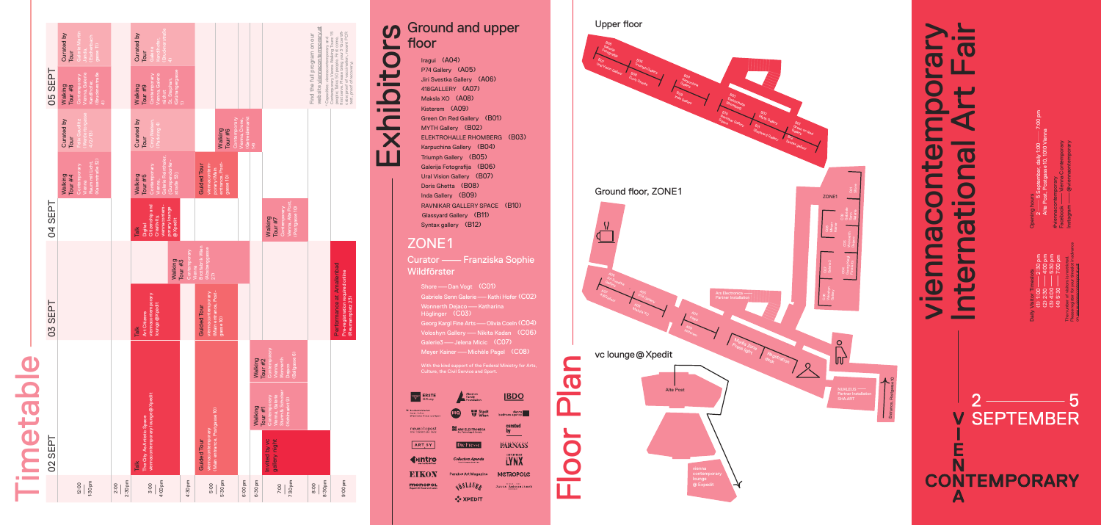Iragui (A04) P74 Gallery (A05) Jiri Svestka Gallery (A06) 418GALLERY (A07) Maksla XO (A08) Kisterem (A09) Green On Red Gallery (B01) MYTH Gallery (B02) ELEKTROHALLE RHOMBERG (B03) Karpuchina Gallery (B04) Triumph Gallery (B05) Galerija Fotografija (B06) Ural Vision Gallery (B07) Doris Ghetta (B08) Inda Gallery (B09) RAVNIKAR GALLERY SPACE (B10) Glassyard Gallery (B11) Syntax gallery (B12)

Curator — Franziska Sophie Wildförster

Shore — Dan Vogt (CO1) Gabriele Senn Galerie — Kathi Hofer (C02) Wonnerth Dejaco — Katharina Höglinger (C03) Georg Kargl Fine Arts—Olivia Coeln (C04) Voloshyn Gallery — Nikita Kadan (CO6) Galerie3 — Jelena Micic (C07) Meyer Kainer — Michèle Pagel (C08)

#### ZONE1

F

 $\overline{\phantom{a}}$  $\mathbf C$ 

 $\bullet$  and  $\bullet$ 

X

## Timetable ď etable **Contract Contract** a and a  $\blacksquare$

With the kind support of the Federal Ministry for Arts,

| <b>ERSTE</b><br>Stiftung                                                      | Aksenov<br>Family<br><b>Foundation</b>                             |                                                                         |  |  |  |
|-------------------------------------------------------------------------------|--------------------------------------------------------------------|-------------------------------------------------------------------------|--|--|--|
| $\equiv$ Bundesministerium<br>Kunst, Kultur,<br>öffentlicher Dienst und Sport | <b>Stadt</b><br>Wien                                               | vlenna<br>business agency                                               |  |  |  |
| neuealtepost<br><b>ETN LEBENDIGES HAUS</b>                                    | ARS ELECTRONICA<br>Art, Technology & Society                       | curated<br>by                                                           |  |  |  |
| <b>ART SY</b>                                                                 | Die Presse                                                         | <b>PARNASS</b>                                                          |  |  |  |
| ≽ıntro<br>der kultüröffner                                                    | <b>Collectors Agenda</b><br>Voices of Contemporary Art and Culture | CONTEMPORARY<br>LYNX                                                    |  |  |  |
| <b>EIKON</b>                                                                  | <b>Parabol Art Magazine</b>                                        | <b>MCTROPOLC</b>                                                        |  |  |  |
| monopol<br>Magazin für Kunst und Leben                                        | <b>SLAURA</b>                                                      | <b>NEISBAY - NIEN</b><br>Jutta Ambrositsch<br><b>THE RESIDENCE PROP</b> |  |  |  |
|                                                                               | <b>XPEDIT</b>                                                      |                                                                         |  |  |  |

Opening hours  $\frac{1}{2}$ 2 — 5 September, daily 1:00  $-7:00$  pm Alte Post, Postgasse 10, 1010 Vienna

#viennacontemporary Facebook —Vienna Contemporary Instagram —@viennaontemporary

Daily Visitor Timeslots (1) 1:00

—2:30 pm

(2) 2:30

(3) 4:00

—5:30 pm

 $-4:00$  pm

(4) 5:30  $-7:00$  pm The number of visitors is restricted. Please register for your timeslot in advance on www.viennacontemporary.at

|                | Galerie Martin<br>Curated by<br>(Eschenbach<br>gasse 11)<br>Janda,<br>Tour                          |                 | (Brucknerstraße<br>Curated by<br>Kandlhofer,<br>Galerie<br>Tour           | $\hat{a}$                                        |                                                                           |                                                                                     |                                  |                                |                                                                                    | website viennacontemporary.at                                       |                                                                                                                                                                                                     |  |
|----------------|-----------------------------------------------------------------------------------------------------|-----------------|---------------------------------------------------------------------------|--------------------------------------------------|---------------------------------------------------------------------------|-------------------------------------------------------------------------------------|----------------------------------|--------------------------------|------------------------------------------------------------------------------------|---------------------------------------------------------------------|-----------------------------------------------------------------------------------------------------------------------------------------------------------------------------------------------------|--|
| <b>O5 SEPT</b> | (Brucknestraße<br>Vienna, Galerie<br>Contemporary<br>Kandlhofer,<br>Walking<br>Tour #8<br>$\hat{4}$ |                 | Vienna, Galerie<br>Contemporary<br>Walking<br>Tour #9<br>nächst           | (Grünangergasse<br>St. Stephan,<br>$\Rightarrow$ |                                                                           |                                                                                     |                                  |                                |                                                                                    | Find the full program on our<br>*Capacities: viennacontemporary and | first serve. Please bring your 3-G certifi-<br>Contemporary Vienna Walking Tours: 15<br>cate (proof of vaccination, recent PCR<br>people; Talks: 50 people. First come,<br>test, proof of recovery) |  |
|                | (Werdertorgasse<br>4/2/13)<br>Curated by<br>Felix Gaudlitz<br>Tour                                  |                 | Curated by<br>Croy Nielsen,<br>(Parkring 4)<br>Tour                       |                                                  |                                                                           | Contemporary<br>Walking<br>Tour #6                                                  | (Getreidemarkt<br>Vienna, Crone, | $\widehat{H}$                  |                                                                                    |                                                                     |                                                                                                                                                                                                     |  |
|                | (Kaiserstraße 32)<br>Raum mit Licht,<br>Contemporary<br>Walking<br>Tour $#4$<br>Vienna              |                 | Galerie Reinthaler,<br>Contemporary<br>Walking<br>Tour $#5$<br>Vienna,    | Gumpendorfer-<br>strable 53)                     |                                                                           | entrance, Post-<br>viennacontem-<br><b>Guided Tour</b><br>porary (Main<br>gasse 10) |                                  |                                |                                                                                    |                                                                     |                                                                                                                                                                                                     |  |
| <b>D4 SEPT</b> |                                                                                                     |                 | Citizenship and<br>viennacontem-<br>Creativity,<br><b>Digital</b><br>Talk | porary lounge<br>@Xpedit                         |                                                                           |                                                                                     |                                  |                                | Vienna, Alte Post,<br>Contemporary<br>(Postgasse 10)<br>Walking<br>Tour #7         |                                                                     |                                                                                                                                                                                                     |  |
|                |                                                                                                     |                 |                                                                           | Walking<br>Tour #3                               | Contemporary                                                              | Brotfabrik Wien<br>(Absberggasse<br>Vienna<br>27)                                   |                                  |                                |                                                                                    |                                                                     |                                                                                                                                                                                                     |  |
| 03 SEPT        |                                                                                                     |                 | viennacontemporary<br>lounge@Xpedit<br>Art Citizens<br>Talk               |                                                  |                                                                           | (Main entrance, Post-<br>viennacontemporary<br><b>Guided Tour</b><br>gasse 10)      |                                  |                                |                                                                                    |                                                                     | Performance at Amalienbad<br>Pre-registration required online<br>(Reumannplatz 23)                                                                                                                  |  |
|                |                                                                                                     |                 |                                                                           |                                                  |                                                                           |                                                                                     |                                  | Walking                        | Contemporary<br>(Ballgasse 6)<br><b>Wonnerth</b><br>Tour $#2$<br>Vienna,<br>Dejaco |                                                                     |                                                                                                                                                                                                     |  |
|                |                                                                                                     |                 |                                                                           |                                                  |                                                                           |                                                                                     |                                  | Walking                        | Sturm & Schober<br>Vienna, Galerie<br>Contemporary<br>(Kohlmarkt 9)<br>Tour $#1$   |                                                                     |                                                                                                                                                                                                     |  |
| 02 SEPT        | viennacontemporary lounge @ Xpedit<br>The City As Artistic Space<br>Talk                            |                 |                                                                           |                                                  | (Main entrance, Postgasse 10)<br>viennacontemporary<br><b>Guided Tour</b> |                                                                                     |                                  | Invited by vc<br>gallery night |                                                                                    |                                                                     |                                                                                                                                                                                                     |  |
|                | 1:30 pm<br>12:00                                                                                    | 2:30 pm<br>2:00 | 4:00 pm<br>3:00                                                           |                                                  | 4:30 pm                                                                   | 5:30 pm<br>5:00                                                                     | 6:00 pm                          | 6:30 pm                        | 7:30 pm<br>7:00                                                                    | 8:30 pm<br>8:00                                                     | 9:00 pm                                                                                                                                                                                             |  |

# **CO** Ground and upper Exhibitors L floor  $\overline{\mathbf{C}}$



viennacontemporary International Art Fair  $\boldsymbol{\sigma}$  $\overline{\mathbf{C}}$  $\overline{O}$  $\overline{\phantom{a}}$ nter DQ  $\bigcirc$ <u>and</u>  $\overline{\mathbf{C}}$  $\begin{array}{c} \begin{array}{ccc} \text{...} & \text{...} & \text{...} \end{array} \end{array}$  $\overline{\phantom{a}}$  $\overline{C}$  $\boldsymbol{\sigma}$  $\overline{\mathbf{C}}$  $\tilde{C}$ <u>ann</u>  $\Box$  $\mathbf{\theta}$  $\bullet$  $\overline{\mathbf{C}}$  $\blacksquare$  $\blacktriangleright$ **CONTRACTOR** 

> **SEPTEMBER** V N **CONTEMPORARY** A